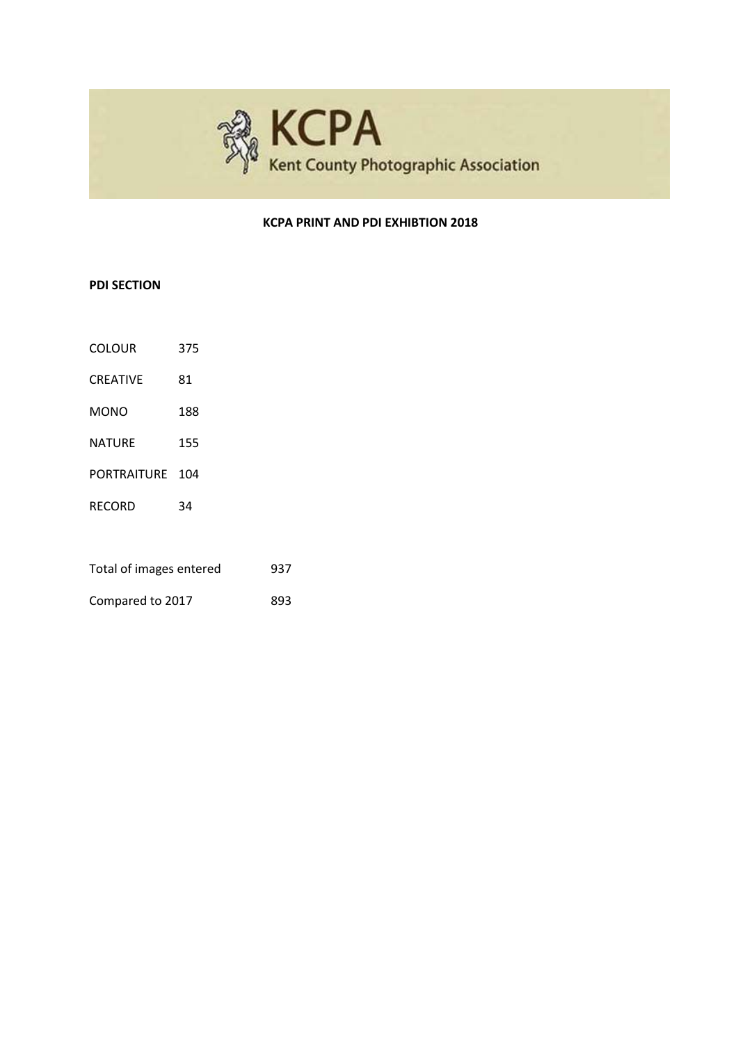

#### **KCPA PRINT AND PDI EXHIBTION 2018**

## **PDI SECTION**

| <b>COLOUR</b> | 375 |
|---------------|-----|
|               |     |

- CREATIVE 81 MONO 188
- 
- NATURE 155
- PORTRAITURE 104
- RECORD 34

Compared to 2017 893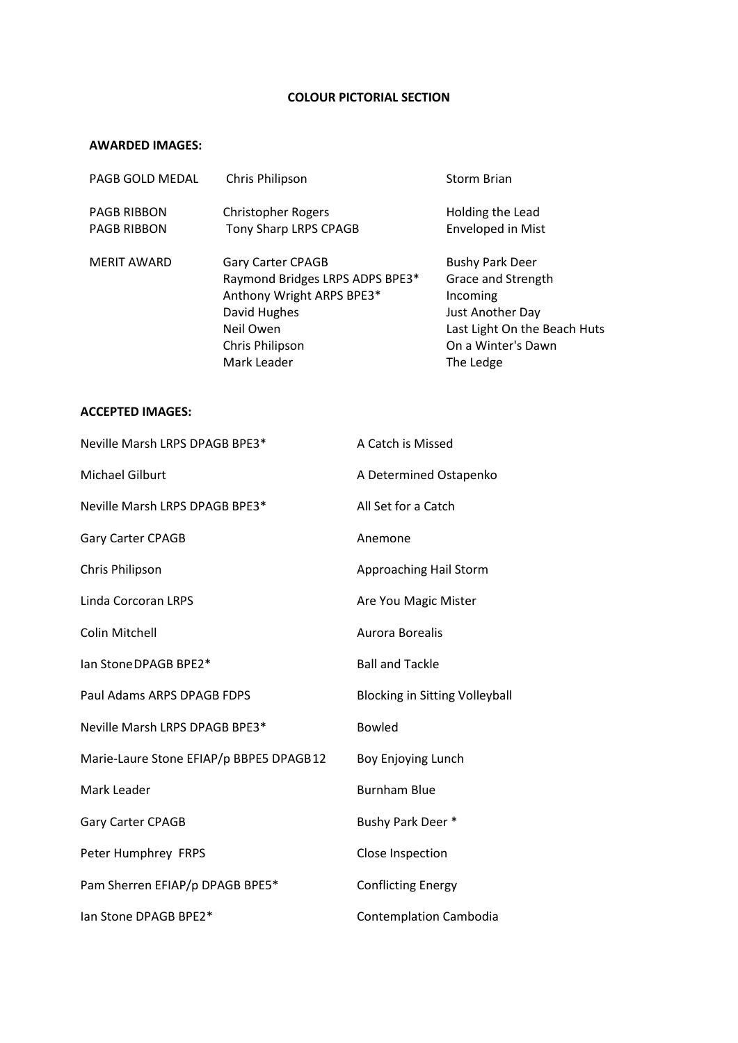### **COLOUR PICTORIAL SECTION**

#### **AWARDED IMAGES:**

| PAGB GOLD MEDAL                          | Chris Philipson                                                                                                                                  | <b>Storm Brian</b>                                                                                                                              |
|------------------------------------------|--------------------------------------------------------------------------------------------------------------------------------------------------|-------------------------------------------------------------------------------------------------------------------------------------------------|
| <b>PAGB RIBBON</b><br><b>PAGB RIBBON</b> | <b>Christopher Rogers</b><br>Tony Sharp LRPS CPAGB                                                                                               | Holding the Lead<br><b>Enveloped in Mist</b>                                                                                                    |
| <b>MERIT AWARD</b>                       | Gary Carter CPAGB<br>Raymond Bridges LRPS ADPS BPE3*<br>Anthony Wright ARPS BPE3*<br>David Hughes<br>Neil Owen<br>Chris Philipson<br>Mark Leader | <b>Bushy Park Deer</b><br>Grace and Strength<br>Incoming<br>Just Another Day<br>Last Light On the Beach Huts<br>On a Winter's Dawn<br>The Ledge |

| Neville Marsh LRPS DPAGB BPE3*          | A Catch is Missed                     |
|-----------------------------------------|---------------------------------------|
| <b>Michael Gilburt</b>                  | A Determined Ostapenko                |
| Neville Marsh LRPS DPAGB BPE3*          | All Set for a Catch                   |
| <b>Gary Carter CPAGB</b>                | Anemone                               |
| Chris Philipson                         | Approaching Hail Storm                |
| Linda Corcoran LRPS                     | Are You Magic Mister                  |
| <b>Colin Mitchell</b>                   | Aurora Borealis                       |
| lan Stone DPAGB BPE2*                   | <b>Ball and Tackle</b>                |
| Paul Adams ARPS DPAGB FDPS              | <b>Blocking in Sitting Volleyball</b> |
| Neville Marsh LRPS DPAGB BPE3*          | <b>Bowled</b>                         |
| Marie-Laure Stone EFIAP/p BBPE5 DPAGB12 | Boy Enjoying Lunch                    |
| Mark Leader                             | <b>Burnham Blue</b>                   |
| Gary Carter CPAGB                       | Bushy Park Deer *                     |
| Peter Humphrey FRPS                     | Close Inspection                      |
| Pam Sherren EFIAP/p DPAGB BPE5*         | <b>Conflicting Energy</b>             |
| lan Stone DPAGB BPE2*                   | <b>Contemplation Cambodia</b>         |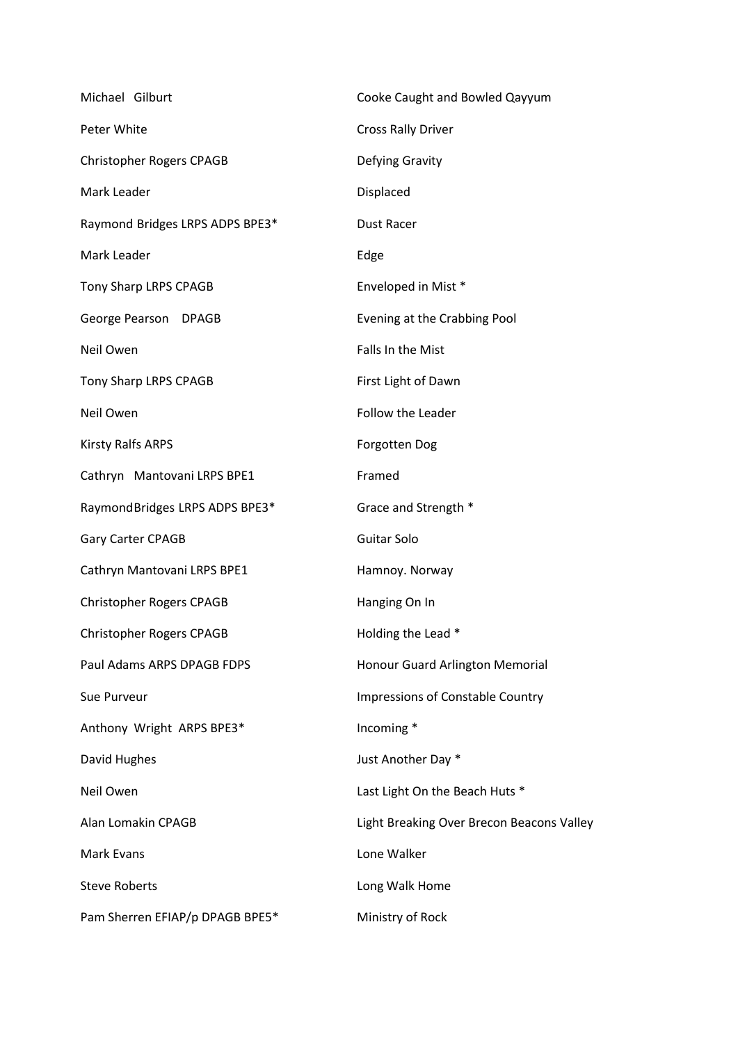| Michael Gilburt                 | Cooke Caught and Bowled Qayyum            |
|---------------------------------|-------------------------------------------|
| Peter White                     | <b>Cross Rally Driver</b>                 |
| Christopher Rogers CPAGB        | Defying Gravity                           |
| Mark Leader                     | Displaced                                 |
| Raymond Bridges LRPS ADPS BPE3* | <b>Dust Racer</b>                         |
| Mark Leader                     | Edge                                      |
| Tony Sharp LRPS CPAGB           | Enveloped in Mist *                       |
| George Pearson DPAGB            | Evening at the Crabbing Pool              |
| Neil Owen                       | Falls In the Mist                         |
| Tony Sharp LRPS CPAGB           | First Light of Dawn                       |
| Neil Owen                       | Follow the Leader                         |
| Kirsty Ralfs ARPS               | <b>Forgotten Dog</b>                      |
| Cathryn Mantovani LRPS BPE1     | Framed                                    |
| Raymond Bridges LRPS ADPS BPE3* | Grace and Strength *                      |
| Gary Carter CPAGB               | Guitar Solo                               |
| Cathryn Mantovani LRPS BPE1     | Hamnoy. Norway                            |
| Christopher Rogers CPAGB        | Hanging On In                             |
| <b>Christopher Rogers CPAGB</b> | Holding the Lead *                        |
| Paul Adams ARPS DPAGB FDPS      | Honour Guard Arlington Memorial           |
| Sue Purveur                     | <b>Impressions of Constable Country</b>   |
| Anthony Wright ARPS BPE3*       | Incoming *                                |
| David Hughes                    | Just Another Day *                        |
| Neil Owen                       | Last Light On the Beach Huts *            |
| Alan Lomakin CPAGB              | Light Breaking Over Brecon Beacons Valley |
| <b>Mark Evans</b>               | Lone Walker                               |
| <b>Steve Roberts</b>            | Long Walk Home                            |
| Pam Sherren EFIAP/p DPAGB BPE5* | Ministry of Rock                          |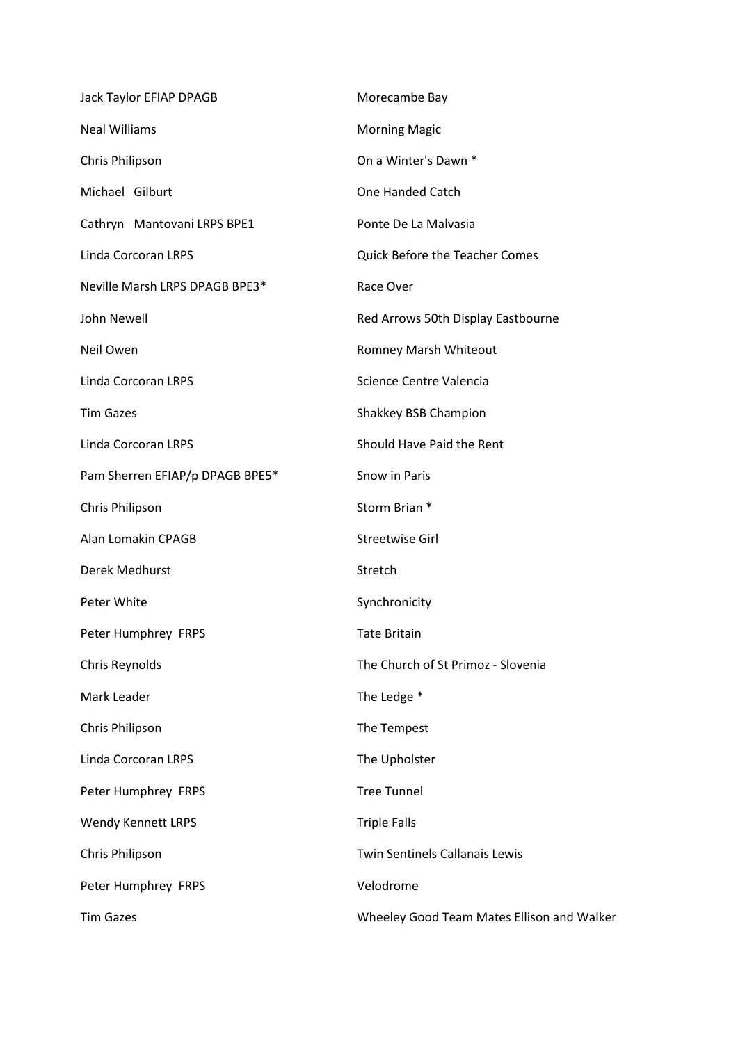| Jack Taylor EFIAP DPAGB         | Morecambe Bay                              |
|---------------------------------|--------------------------------------------|
| <b>Neal Williams</b>            | <b>Morning Magic</b>                       |
| Chris Philipson                 | On a Winter's Dawn *                       |
| Michael Gilburt                 | One Handed Catch                           |
| Cathryn Mantovani LRPS BPE1     | Ponte De La Malvasia                       |
| Linda Corcoran LRPS             | <b>Quick Before the Teacher Comes</b>      |
| Neville Marsh LRPS DPAGB BPE3*  | Race Over                                  |
| John Newell                     | Red Arrows 50th Display Eastbourne         |
| Neil Owen                       | Romney Marsh Whiteout                      |
| Linda Corcoran LRPS             | Science Centre Valencia                    |
| <b>Tim Gazes</b>                | Shakkey BSB Champion                       |
| Linda Corcoran LRPS             | Should Have Paid the Rent                  |
| Pam Sherren EFIAP/p DPAGB BPE5* | Snow in Paris                              |
| Chris Philipson                 | Storm Brian *                              |
| Alan Lomakin CPAGB              | Streetwise Girl                            |
| Derek Medhurst                  | Stretch                                    |
| Peter White                     | Synchronicity                              |
| Peter Humphrey FRPS             | <b>Tate Britain</b>                        |
| Chris Reynolds                  | The Church of St Primoz - Slovenia         |
| Mark Leader                     | The Ledge *                                |
| Chris Philipson                 | The Tempest                                |
| <b>Linda Corcoran LRPS</b>      | The Upholster                              |
| Peter Humphrey FRPS             | <b>Tree Tunnel</b>                         |
| <b>Wendy Kennett LRPS</b>       | <b>Triple Falls</b>                        |
| Chris Philipson                 | <b>Twin Sentinels Callanais Lewis</b>      |
| Peter Humphrey FRPS             | Velodrome                                  |
| <b>Tim Gazes</b>                | Wheeley Good Team Mates Ellison and Walker |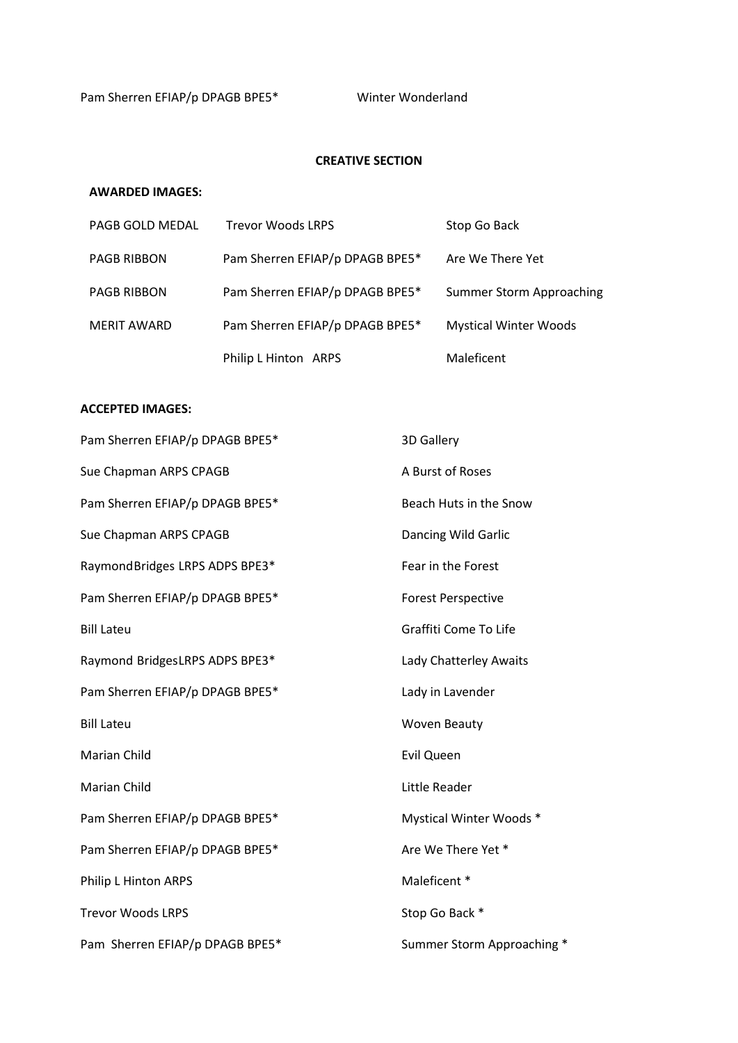## **CREATIVE SECTION**

## **AWARDED IMAGES:**

| PAGB GOLD MEDAL    | <b>Trevor Woods LRPS</b>        | Stop Go Back                 |
|--------------------|---------------------------------|------------------------------|
| <b>PAGB RIBBON</b> | Pam Sherren EFIAP/p DPAGB BPE5* | Are We There Yet             |
| <b>PAGB RIBBON</b> | Pam Sherren EFIAP/p DPAGB BPE5* | Summer Storm Approaching     |
| <b>MERIT AWARD</b> | Pam Sherren EFIAP/p DPAGB BPE5* | <b>Mystical Winter Woods</b> |
|                    | Philip L Hinton ARPS            | Maleficent                   |

| Pam Sherren EFIAP/p DPAGB BPE5* | 3D Gallery                 |
|---------------------------------|----------------------------|
| Sue Chapman ARPS CPAGB          | A Burst of Roses           |
| Pam Sherren EFIAP/p DPAGB BPE5* | Beach Huts in the Snow     |
| Sue Chapman ARPS CPAGB          | Dancing Wild Garlic        |
| Raymond Bridges LRPS ADPS BPE3* | Fear in the Forest         |
| Pam Sherren EFIAP/p DPAGB BPE5* | <b>Forest Perspective</b>  |
| <b>Bill Lateu</b>               | Graffiti Come To Life      |
| Raymond BridgesLRPS ADPS BPE3*  | Lady Chatterley Awaits     |
| Pam Sherren EFIAP/p DPAGB BPE5* | Lady in Lavender           |
| <b>Bill Lateu</b>               | <b>Woven Beauty</b>        |
| Marian Child                    | Evil Queen                 |
| <b>Marian Child</b>             | Little Reader              |
| Pam Sherren EFIAP/p DPAGB BPE5* | Mystical Winter Woods *    |
| Pam Sherren EFIAP/p DPAGB BPE5* | Are We There Yet *         |
| Philip L Hinton ARPS            | Maleficent *               |
| <b>Trevor Woods LRPS</b>        | Stop Go Back *             |
| Pam Sherren EFIAP/p DPAGB BPE5* | Summer Storm Approaching * |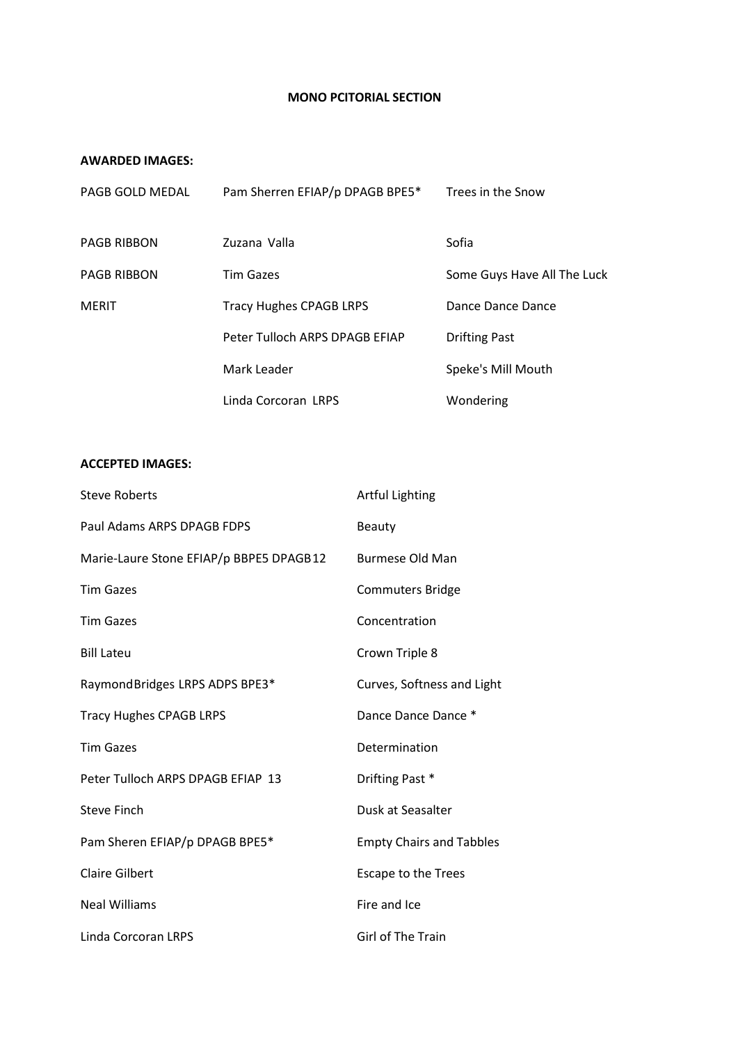#### **MONO PCITORIAL SECTION**

### **AWARDED IMAGES:**

| PAGB GOLD MEDAL    | Pam Sherren EFIAP/p DPAGB BPE5* | Trees in the Snow           |
|--------------------|---------------------------------|-----------------------------|
| <b>PAGB RIBBON</b> | Zuzana Valla                    | Sofia                       |
| <b>PAGB RIBBON</b> | <b>Tim Gazes</b>                | Some Guys Have All The Luck |
| <b>MERIT</b>       | <b>Tracy Hughes CPAGB LRPS</b>  | Dance Dance Dance           |
|                    | Peter Tulloch ARPS DPAGB EFIAP  | <b>Drifting Past</b>        |
|                    | Mark Leader                     | Speke's Mill Mouth          |
|                    | Linda Corcoran LRPS             | Wondering                   |

| <b>Steve Roberts</b>                    | <b>Artful Lighting</b>          |
|-----------------------------------------|---------------------------------|
| Paul Adams ARPS DPAGB FDPS              | Beauty                          |
| Marie-Laure Stone EFIAP/p BBPE5 DPAGB12 | <b>Burmese Old Man</b>          |
| <b>Tim Gazes</b>                        | <b>Commuters Bridge</b>         |
| <b>Tim Gazes</b>                        | Concentration                   |
| <b>Bill Lateu</b>                       | Crown Triple 8                  |
| Raymond Bridges LRPS ADPS BPE3*         | Curves, Softness and Light      |
| <b>Tracy Hughes CPAGB LRPS</b>          | Dance Dance Dance *             |
| <b>Tim Gazes</b>                        | Determination                   |
| Peter Tulloch ARPS DPAGB EFIAP 13       | Drifting Past *                 |
| <b>Steve Finch</b>                      | Dusk at Seasalter               |
| Pam Sheren EFIAP/p DPAGB BPE5*          | <b>Empty Chairs and Tabbles</b> |
| <b>Claire Gilbert</b>                   | <b>Escape to the Trees</b>      |
| <b>Neal Williams</b>                    | Fire and Ice                    |
| Linda Corcoran LRPS                     | Girl of The Train               |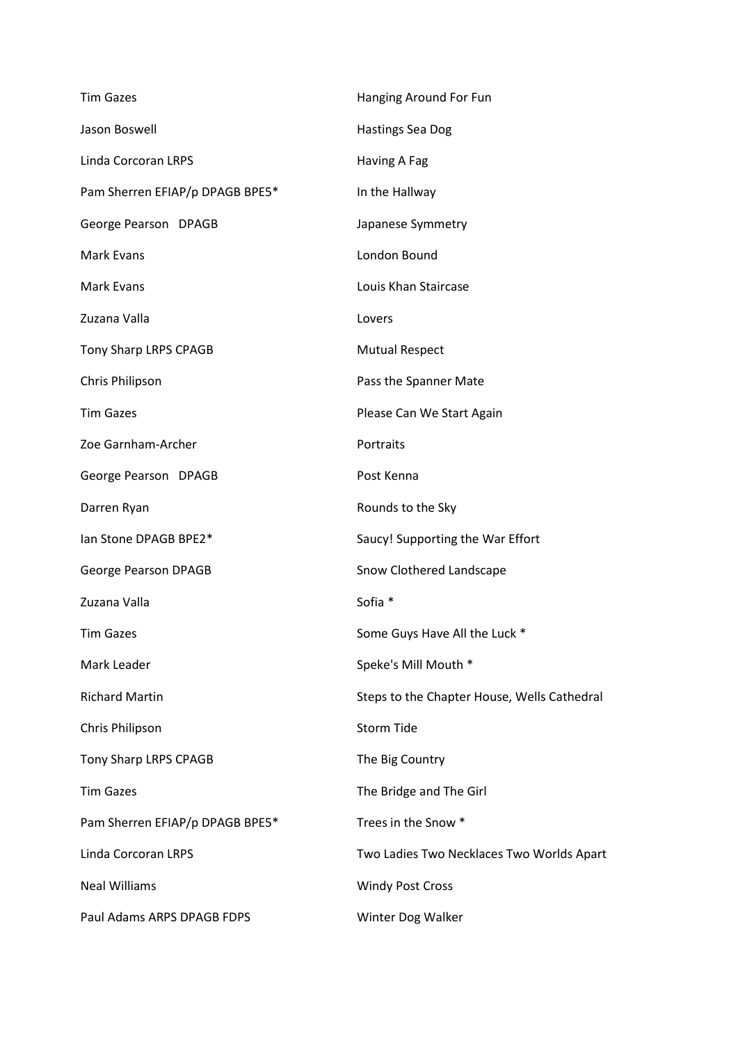| <b>Tim Gazes</b>                | Hanging Around For Fun                      |
|---------------------------------|---------------------------------------------|
| Jason Boswell                   | <b>Hastings Sea Dog</b>                     |
| Linda Corcoran LRPS             | Having A Fag                                |
| Pam Sherren EFIAP/p DPAGB BPE5* | In the Hallway                              |
| George Pearson DPAGB            | Japanese Symmetry                           |
| Mark Evans                      | London Bound                                |
| Mark Evans                      | Louis Khan Staircase                        |
| Zuzana Valla                    | Lovers                                      |
| Tony Sharp LRPS CPAGB           | <b>Mutual Respect</b>                       |
| Chris Philipson                 | Pass the Spanner Mate                       |
| <b>Tim Gazes</b>                | Please Can We Start Again                   |
| Zoe Garnham-Archer              | Portraits                                   |
| George Pearson DPAGB            | Post Kenna                                  |
| Darren Ryan                     | Rounds to the Sky                           |
| lan Stone DPAGB BPE2*           | Saucy! Supporting the War Effort            |
| George Pearson DPAGB            | Snow Clothered Landscape                    |
| Zuzana Valla                    | Sofia *                                     |
| <b>Tim Gazes</b>                | Some Guys Have All the Luck *               |
| Mark Leader                     | Speke's Mill Mouth *                        |
| <b>Richard Martin</b>           | Steps to the Chapter House, Wells Cathedral |
| Chris Philipson                 | <b>Storm Tide</b>                           |
| Tony Sharp LRPS CPAGB           | The Big Country                             |
| <b>Tim Gazes</b>                | The Bridge and The Girl                     |
| Pam Sherren EFIAP/p DPAGB BPE5* | Trees in the Snow *                         |
| <b>Linda Corcoran LRPS</b>      | Two Ladies Two Necklaces Two Worlds Apart   |
| <b>Neal Williams</b>            | <b>Windy Post Cross</b>                     |
| Paul Adams ARPS DPAGB FDPS      | Winter Dog Walker                           |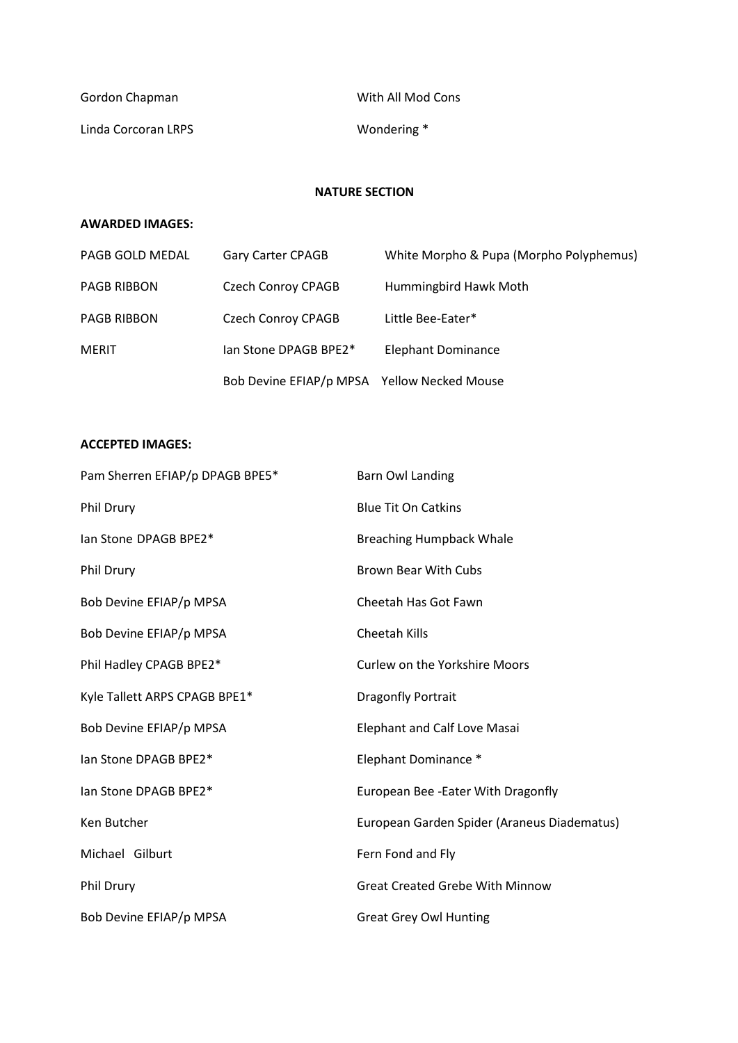| Gordon Chapman      | With All Mod Cons |
|---------------------|-------------------|
| Linda Corcoran LRPS | Wondering *       |

### **NATURE SECTION**

## **AWARDED IMAGES:**

| PAGB GOLD MEDAL    | Gary Carter CPAGB                           | White Morpho & Pupa (Morpho Polyphemus) |
|--------------------|---------------------------------------------|-----------------------------------------|
| PAGB RIBBON        | Czech Conroy CPAGB                          | Hummingbird Hawk Moth                   |
| <b>PAGB RIBBON</b> | <b>Czech Conroy CPAGB</b>                   | Little Bee-Eater*                       |
| <b>MERIT</b>       | lan Stone DPAGB BPE2*                       | <b>Elephant Dominance</b>               |
|                    | Bob Devine EFIAP/p MPSA Yellow Necked Mouse |                                         |

| Pam Sherren EFIAP/p DPAGB BPE5* | <b>Barn Owl Landing</b>                     |
|---------------------------------|---------------------------------------------|
| Phil Drury                      | <b>Blue Tit On Catkins</b>                  |
| lan Stone DPAGB BPE2*           | <b>Breaching Humpback Whale</b>             |
| Phil Drury                      | <b>Brown Bear With Cubs</b>                 |
| Bob Devine EFIAP/p MPSA         | Cheetah Has Got Fawn                        |
| Bob Devine EFIAP/p MPSA         | Cheetah Kills                               |
| Phil Hadley CPAGB BPE2*         | <b>Curlew on the Yorkshire Moors</b>        |
| Kyle Tallett ARPS CPAGB BPE1*   | Dragonfly Portrait                          |
| Bob Devine EFIAP/p MPSA         | <b>Elephant and Calf Love Masai</b>         |
| lan Stone DPAGB BPE2*           | Elephant Dominance *                        |
| lan Stone DPAGB BPE2*           | European Bee - Eater With Dragonfly         |
| Ken Butcher                     | European Garden Spider (Araneus Diadematus) |
| Michael Gilburt                 | Fern Fond and Fly                           |
| Phil Drury                      | <b>Great Created Grebe With Minnow</b>      |
| Bob Devine EFIAP/p MPSA         | <b>Great Grey Owl Hunting</b>               |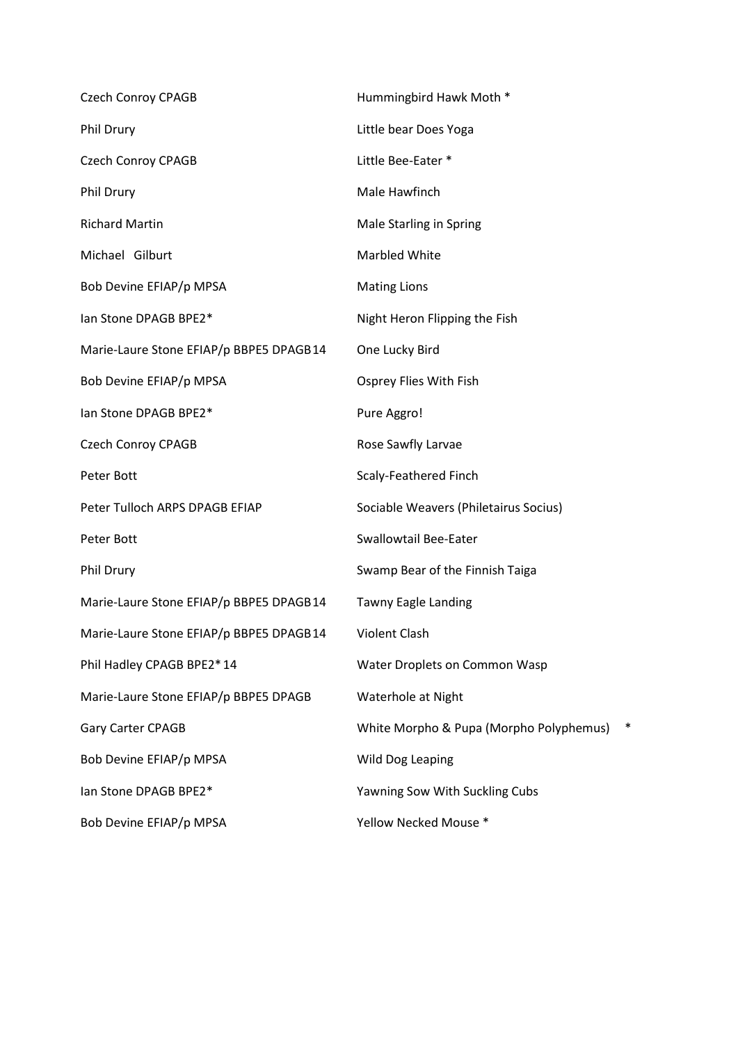| <b>Czech Conroy CPAGB</b>               | Hummingbird Hawk Moth *                           |
|-----------------------------------------|---------------------------------------------------|
| Phil Drury                              | Little bear Does Yoga                             |
| <b>Czech Conroy CPAGB</b>               | Little Bee-Eater *                                |
| Phil Drury                              | Male Hawfinch                                     |
| <b>Richard Martin</b>                   | Male Starling in Spring                           |
| Michael Gilburt                         | Marbled White                                     |
| Bob Devine EFIAP/p MPSA                 | <b>Mating Lions</b>                               |
| lan Stone DPAGB BPE2*                   | Night Heron Flipping the Fish                     |
| Marie-Laure Stone EFIAP/p BBPE5 DPAGB14 | One Lucky Bird                                    |
| Bob Devine EFIAP/p MPSA                 | Osprey Flies With Fish                            |
| lan Stone DPAGB BPE2*                   | Pure Aggro!                                       |
| <b>Czech Conroy CPAGB</b>               | Rose Sawfly Larvae                                |
| Peter Bott                              | Scaly-Feathered Finch                             |
| Peter Tulloch ARPS DPAGB EFIAP          | Sociable Weavers (Philetairus Socius)             |
| Peter Bott                              | <b>Swallowtail Bee-Eater</b>                      |
| Phil Drury                              | Swamp Bear of the Finnish Taiga                   |
| Marie-Laure Stone EFIAP/p BBPE5 DPAGB14 | Tawny Eagle Landing                               |
| Marie-Laure Stone EFIAP/p BBPE5 DPAGB14 | <b>Violent Clash</b>                              |
| Phil Hadley CPAGB BPE2*14               | Water Droplets on Common Wasp                     |
| Marie-Laure Stone EFIAP/p BBPE5 DPAGB   | Waterhole at Night                                |
| Gary Carter CPAGB                       | $\ast$<br>White Morpho & Pupa (Morpho Polyphemus) |
| Bob Devine EFIAP/p MPSA                 | Wild Dog Leaping                                  |
| lan Stone DPAGB BPE2*                   | Yawning Sow With Suckling Cubs                    |
| Bob Devine EFIAP/p MPSA                 | Yellow Necked Mouse *                             |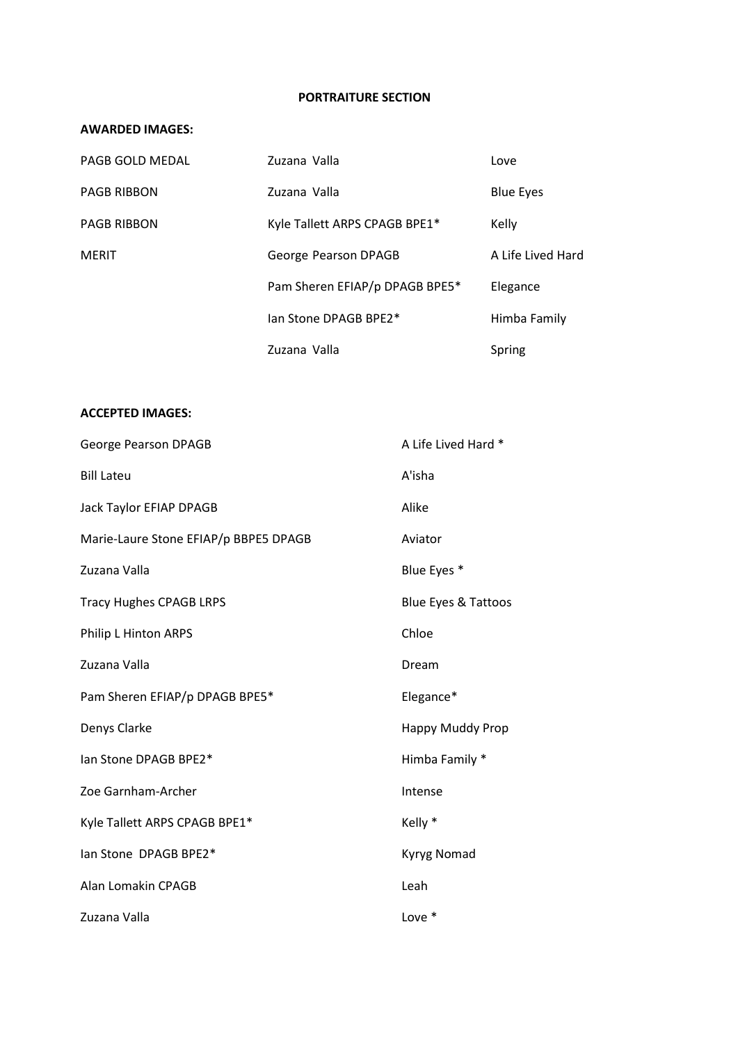#### **PORTRAITURE SECTION**

## **AWARDED IMAGES:**

| PAGB GOLD MEDAL    | Zuzana Valla                   | Love              |
|--------------------|--------------------------------|-------------------|
| <b>PAGB RIBBON</b> | Zuzana Valla                   | <b>Blue Eyes</b>  |
| <b>PAGB RIBBON</b> | Kyle Tallett ARPS CPAGB BPE1*  | Kelly             |
| <b>MERIT</b>       | George Pearson DPAGB           | A Life Lived Hard |
|                    | Pam Sheren EFIAP/p DPAGB BPE5* | Elegance          |
|                    | lan Stone DPAGB BPE2*          | Himba Family      |
|                    | Zuzana Valla                   | Spring            |

| <b>George Pearson DPAGB</b>           | A Life Lived Hard * |
|---------------------------------------|---------------------|
| <b>Bill Lateu</b>                     | A'isha              |
| Jack Taylor EFIAP DPAGB               | Alike               |
| Marie-Laure Stone EFIAP/p BBPE5 DPAGB | Aviator             |
| Zuzana Valla                          | Blue Eyes *         |
| <b>Tracy Hughes CPAGB LRPS</b>        | Blue Eyes & Tattoos |
| Philip L Hinton ARPS                  | Chloe               |
| Zuzana Valla                          | Dream               |
| Pam Sheren EFIAP/p DPAGB BPE5*        | Elegance*           |
| Denys Clarke                          | Happy Muddy Prop    |
| lan Stone DPAGB BPE2*                 | Himba Family *      |
| Zoe Garnham-Archer                    | Intense             |
| Kyle Tallett ARPS CPAGB BPE1*         | Kelly *             |
| lan Stone DPAGB BPE2*                 | <b>Kyryg Nomad</b>  |
| Alan Lomakin CPAGB                    | Leah                |
| Zuzana Valla                          | Love *              |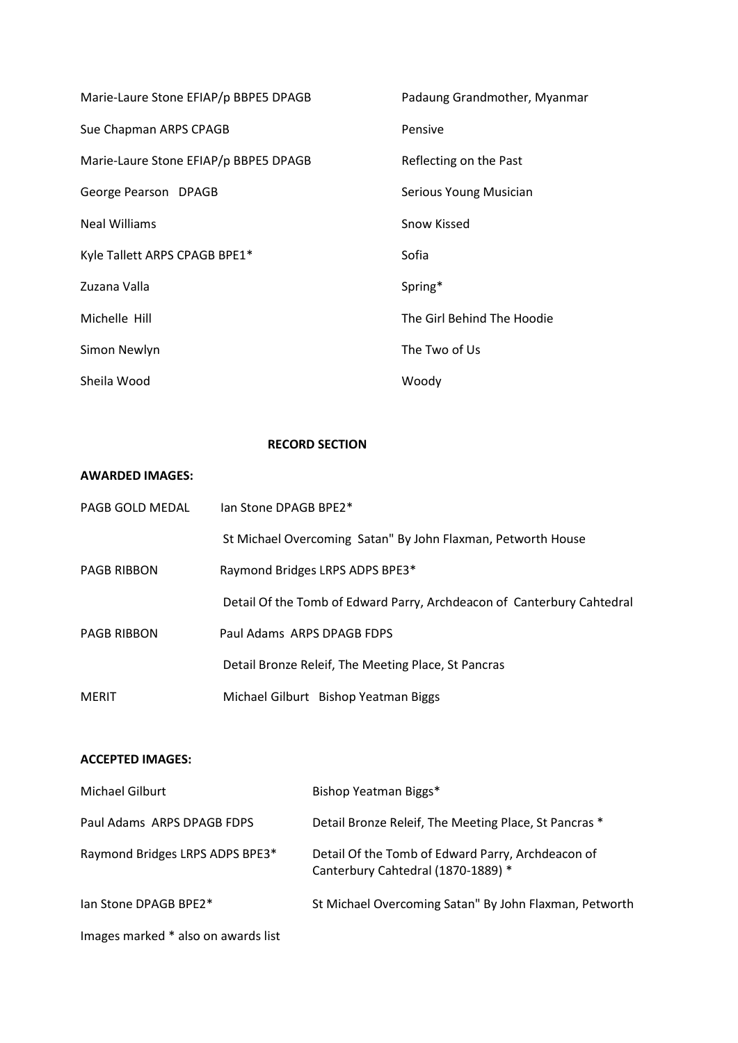| Marie-Laure Stone EFIAP/p BBPE5 DPAGB | Padaung Grandmother, Myanmar |
|---------------------------------------|------------------------------|
| Sue Chapman ARPS CPAGB                | Pensive                      |
| Marie-Laure Stone EFIAP/p BBPE5 DPAGB | Reflecting on the Past       |
| George Pearson DPAGB                  | Serious Young Musician       |
| <b>Neal Williams</b>                  | Snow Kissed                  |
| Kyle Tallett ARPS CPAGB BPE1*         | Sofia                        |
| Zuzana Valla                          | Spring*                      |
| Michelle Hill                         | The Girl Behind The Hoodie   |
| Simon Newlyn                          | The Two of Us                |
| Sheila Wood                           | Woody                        |

## **RECORD SECTION**

#### **AWARDED IMAGES:**

| PAGB GOLD MEDAL    | lan Stone DPAGB BPF2*                                                  |
|--------------------|------------------------------------------------------------------------|
|                    | St Michael Overcoming Satan" By John Flaxman, Petworth House           |
| <b>PAGB RIBBON</b> | Raymond Bridges LRPS ADPS BPE3*                                        |
|                    | Detail Of the Tomb of Edward Parry, Archdeacon of Canterbury Cahtedral |
| <b>PAGB RIBBON</b> | Paul Adams, ARPS DPAGB FDPS                                            |
|                    | Detail Bronze Releif, The Meeting Place, St Pancras                    |
| <b>MERIT</b>       | Michael Gilburt Bishop Yeatman Biggs                                   |

| Michael Gilburt                     | Bishop Yeatman Biggs*                                                                   |
|-------------------------------------|-----------------------------------------------------------------------------------------|
| Paul Adams, ARPS DPAGB FDPS         | Detail Bronze Releif, The Meeting Place, St Pancras *                                   |
| Raymond Bridges LRPS ADPS BPE3*     | Detail Of the Tomb of Edward Parry, Archdeacon of<br>Canterbury Cahtedral (1870-1889) * |
| lan Stone DPAGB BPE2*               | St Michael Overcoming Satan" By John Flaxman, Petworth                                  |
| Images marked * also on awards list |                                                                                         |